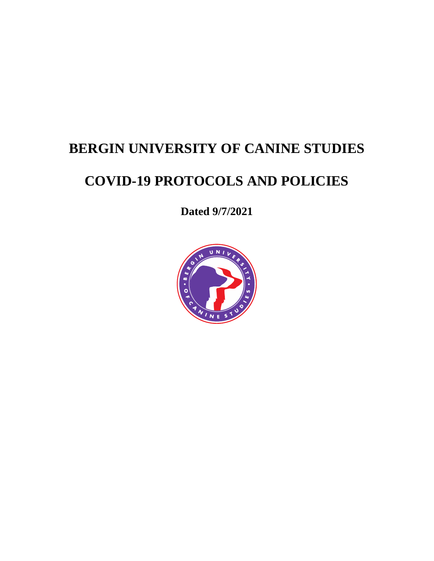# **BERGIN UNIVERSITY OF CANINE STUDIES**

# **COVID-19 PROTOCOLS AND POLICIES**

**Dated 9/7/2021**

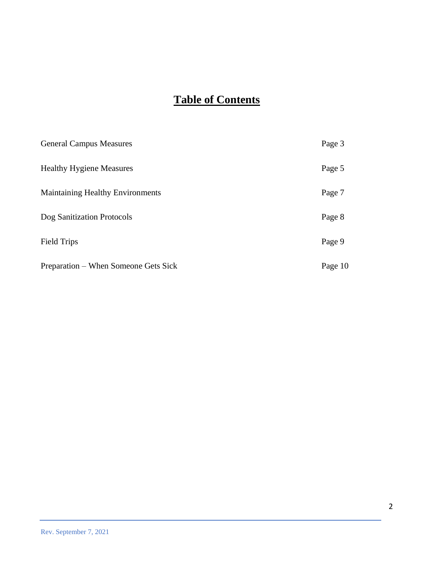## **Table of Contents**

| <b>General Campus Measures</b>          | Page 3  |
|-----------------------------------------|---------|
| <b>Healthy Hygiene Measures</b>         | Page 5  |
| <b>Maintaining Healthy Environments</b> | Page 7  |
| Dog Sanitization Protocols              | Page 8  |
| <b>Field Trips</b>                      | Page 9  |
| Preparation – When Someone Gets Sick    | Page 10 |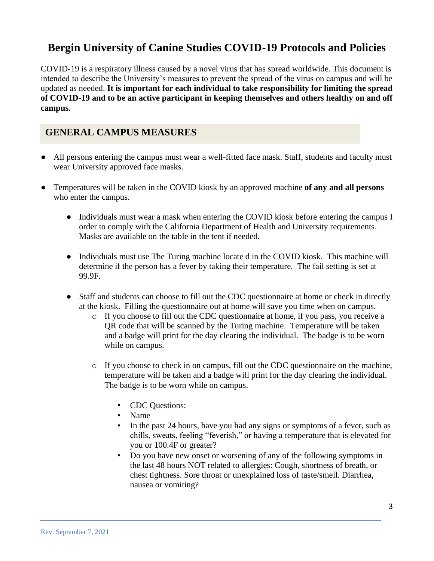## **Bergin University of Canine Studies COVID-19 Protocols and Policies**

COVID-19 is a respiratory illness caused by a novel virus that has spread worldwide. This document is intended to describe the University's measures to prevent the spread of the virus on campus and will be updated as needed. **It is important for each individual to take responsibility for limiting the spread of COVID-19 and to be an active participant in keeping themselves and others healthy on and off campus.**

## **GENERAL CAMPUS MEASURES**

- All persons entering the campus must wear a well-fitted face mask. Staff, students and faculty must wear University approved face masks.
- Temperatures will be taken in the COVID kiosk by an approved machine **of any and all persons** who enter the campus.
	- Individuals must wear a mask when entering the COVID kiosk before entering the campus I order to comply with the California Department of Health and University requirements. Masks are available on the table in the tent if needed.
	- Individuals must use The Turing machine locate d in the COVID kiosk. This machine will determine if the person has a fever by taking their temperature. The fail setting is set at 99.9F.
	- Staff and students can choose to fill out the CDC questionnaire at home or check in directly at the kiosk. Filling the questionnaire out at home will save you time when on campus.
		- o If you choose to fill out the CDC questionnaire at home, if you pass, you receive a QR code that will be scanned by the Turing machine. Temperature will be taken and a badge will print for the day clearing the individual. The badge is to be worn while on campus.
		- o If you choose to check in on campus, fill out the CDC questionnaire on the machine, temperature will be taken and a badge will print for the day clearing the individual. The badge is to be worn while on campus.
			- CDC Questions:
			- Name
			- In the past 24 hours, have you had any signs or symptoms of a fever, such as chills, sweats, feeling "feverish," or having a temperature that is elevated for you or 100.4F or greater?
			- Do you have new onset or worsening of any of the following symptoms in the last 48 hours NOT related to allergies: Cough, shortness of breath, or chest tightness. Sore throat or unexplained loss of taste/smell. Diarrhea, nausea or vomiting?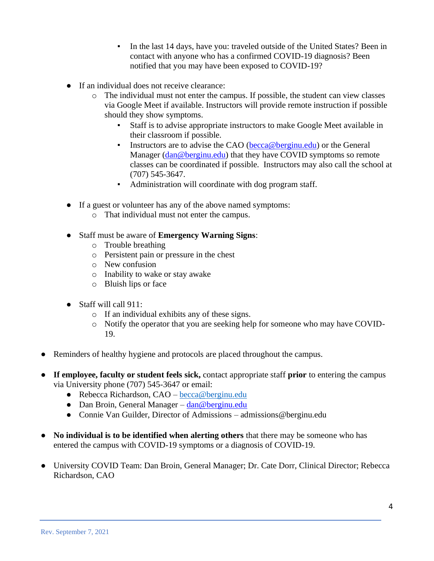- In the last 14 days, have you: traveled outside of the United States? Been in contact with anyone who has a confirmed COVID-19 diagnosis? Been notified that you may have been exposed to COVID-19?
- If an individual does not receive clearance:
	- o The individual must not enter the campus. If possible, the student can view classes via Google Meet if available. Instructors will provide remote instruction if possible should they show symptoms.
		- Staff is to advise appropriate instructors to make Google Meet available in their classroom if possible.
		- **EXECUTE:** Instructors are to advise the CAO [\(becca@berginu.edu\)](mailto:becca@berginu.edu) or the General Manager [\(dan@berginu.edu\)](mailto:dan@berginu.edu) that they have COVID symptoms so remote classes can be coordinated if possible. Instructors may also call the school at (707) 545-3647.
		- Administration will coordinate with dog program staff.
- If a guest or volunteer has any of the above named symptoms:
	- o That individual must not enter the campus.
- Staff must be aware of **Emergency Warning Signs**:
	- o Trouble breathing
	- o Persistent pain or pressure in the chest
	- o New confusion
	- o Inability to wake or stay awake
	- o Bluish lips or face
- Staff will call 911:
	- o If an individual exhibits any of these signs.
	- o Notify the operator that you are seeking help for someone who may have COVID-19.
- Reminders of healthy hygiene and protocols are placed throughout the campus.
- **If employee, faculty or student feels sick,** contact appropriate staff **prior** to entering the campus via University phone (707) 545-3647 or email:
	- Rebecca Richardson, CAO [becca@berginu.edu](mailto:becca@bergnu.edu)
	- Dan Broin, General Manager [dan@berginu.edu](mailto:dan@berginu.edu)
	- Connie Van Guilder, Director of Admissions admissions@berginu.edu
- **No individual is to be identified when alerting others** that there may be someone who has entered the campus with COVID-19 symptoms or a diagnosis of COVID-19.
- University COVID Team: Dan Broin, General Manager; Dr. Cate Dorr, Clinical Director; Rebecca Richardson, CAO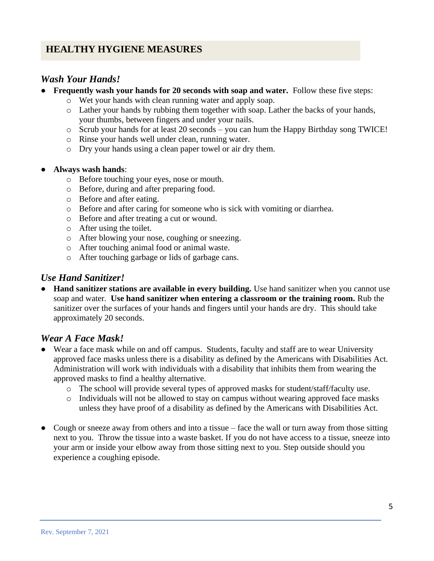## **HEALTHY HYGIENE MEASURES**

### *Wash Your Hands!*

- **Frequently wash your hands for 20 seconds with soap and water.** Follow these five steps:
	- o Wet your hands with clean running water and apply soap.
	- o Lather your hands by rubbing them together with soap. Lather the backs of your hands, your thumbs, between fingers and under your nails.
	- o Scrub your hands for at least 20 seconds you can hum the Happy Birthday song TWICE!
	- o Rinse your hands well under clean, running water.
	- o Dry your hands using a clean paper towel or air dry them.

#### ● **Always wash hands**:

- o Before touching your eyes, nose or mouth.
- o Before, during and after preparing food.
- o Before and after eating.
- o Before and after caring for someone who is sick with vomiting or diarrhea.
- o Before and after treating a cut or wound.
- o After using the toilet.
- o After blowing your nose, coughing or sneezing.
- o After touching animal food or animal waste.
- o After touching garbage or lids of garbage cans.

### *Use Hand Sanitizer!*

● **Hand sanitizer stations are available in every building.** Use hand sanitizer when you cannot use soap and water. **Use hand sanitizer when entering a classroom or the training room.** Rub the sanitizer over the surfaces of your hands and fingers until your hands are dry. This should take approximately 20 seconds.

#### *Wear A Face Mask!*

- Wear a face mask while on and off campus. Students, faculty and staff are to wear University approved face masks unless there is a disability as defined by the Americans with Disabilities Act. Administration will work with individuals with a disability that inhibits them from wearing the approved masks to find a healthy alternative.
	- o The school will provide several types of approved masks for student/staff/faculty use.
	- o Individuals will not be allowed to stay on campus without wearing approved face masks unless they have proof of a disability as defined by the Americans with Disabilities Act.
- Cough or sneeze away from others and into a tissue face the wall or turn away from those sitting next to you. Throw the tissue into a waste basket. If you do not have access to a tissue, sneeze into your arm or inside your elbow away from those sitting next to you. Step outside should you experience a coughing episode.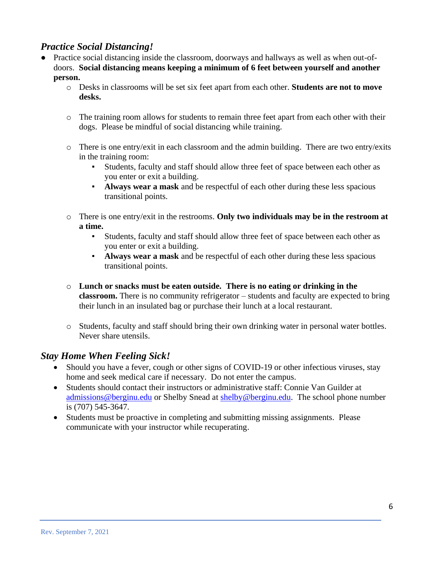## *Practice Social Distancing!*

- Practice social distancing inside the classroom, doorways and hallways as well as when out-ofdoors. **Social distancing means keeping a minimum of 6 feet between yourself and another person.**
	- o Desks in classrooms will be set six feet apart from each other. **Students are not to move desks.**
	- o The training room allows for students to remain three feet apart from each other with their dogs. Please be mindful of social distancing while training.
	- $\circ$  There is one entry/exit in each classroom and the admin building. There are two entry/exits in the training room:
		- Students, faculty and staff should allow three feet of space between each other as you enter or exit a building.
		- **Always wear a mask** and be respectful of each other during these less spacious transitional points.
	- o There is one entry/exit in the restrooms. **Only two individuals may be in the restroom at a time.**
		- Students, faculty and staff should allow three feet of space between each other as you enter or exit a building.
		- **Always wear a mask** and be respectful of each other during these less spacious transitional points.
	- o **Lunch or snacks must be eaten outside. There is no eating or drinking in the classroom.** There is no community refrigerator – students and faculty are expected to bring their lunch in an insulated bag or purchase their lunch at a local restaurant.
	- o Students, faculty and staff should bring their own drinking water in personal water bottles. Never share utensils.

## *Stay Home When Feeling Sick!*

- Should you have a fever, cough or other signs of COVID-19 or other infectious viruses, stay home and seek medical care if necessary. Do not enter the campus.
- Students should contact their instructors or administrative staff: Connie Van Guilder at [admissions@berginu.edu](mailto:admissions@berginu.edu) or Shelby Snead at [shelby@berginu.edu.](mailto:shelby@berginu.edu) The school phone number is (707) 545-3647.
- Students must be proactive in completing and submitting missing assignments. Please communicate with your instructor while recuperating.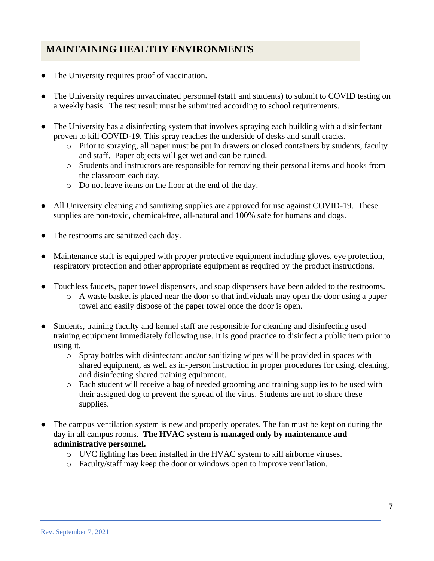## **MAINTAINING HEALTHY ENVIRONMENTS**

- The University requires proof of vaccination.
- The University requires unvaccinated personnel (staff and students) to submit to COVID testing on a weekly basis. The test result must be submitted according to school requirements.
- The University has a disinfecting system that involves spraying each building with a disinfectant proven to kill COVID-19. This spray reaches the underside of desks and small cracks.
	- o Prior to spraying, all paper must be put in drawers or closed containers by students, faculty and staff. Paper objects will get wet and can be ruined.
	- o Students and instructors are responsible for removing their personal items and books from the classroom each day.
	- o Do not leave items on the floor at the end of the day.
- All University cleaning and sanitizing supplies are approved for use against COVID-19. These supplies are non-toxic, chemical-free, all-natural and 100% safe for humans and dogs.
- The restrooms are sanitized each day.
- Maintenance staff is equipped with proper protective equipment including gloves, eye protection, respiratory protection and other appropriate equipment as required by the product instructions.
- Touchless faucets, paper towel dispensers, and soap dispensers have been added to the restrooms.
	- o A waste basket is placed near the door so that individuals may open the door using a paper towel and easily dispose of the paper towel once the door is open.
- Students, training faculty and kennel staff are responsible for cleaning and disinfecting used training equipment immediately following use. It is good practice to disinfect a public item prior to using it.
	- o Spray bottles with disinfectant and/or sanitizing wipes will be provided in spaces with shared equipment, as well as in-person instruction in proper procedures for using, cleaning, and disinfecting shared training equipment.
	- o Each student will receive a bag of needed grooming and training supplies to be used with their assigned dog to prevent the spread of the virus. Students are not to share these supplies.
- The campus ventilation system is new and properly operates. The fan must be kept on during the day in all campus rooms. **The HVAC system is managed only by maintenance and administrative personnel.**
	- o UVC lighting has been installed in the HVAC system to kill airborne viruses.
	- o Faculty/staff may keep the door or windows open to improve ventilation.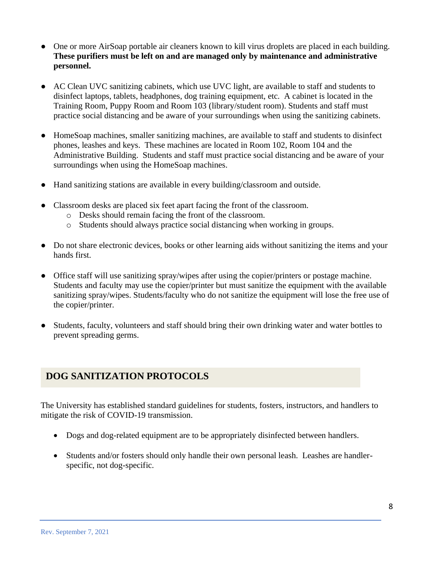- One or more AirSoap portable air cleaners known to kill virus droplets are placed in each building. **These purifiers must be left on and are managed only by maintenance and administrative personnel.**
- AC Clean UVC sanitizing cabinets, which use UVC light, are available to staff and students to disinfect laptops, tablets, headphones, dog training equipment, etc. A cabinet is located in the Training Room, Puppy Room and Room 103 (library/student room). Students and staff must practice social distancing and be aware of your surroundings when using the sanitizing cabinets.
- HomeSoap machines, smaller sanitizing machines, are available to staff and students to disinfect phones, leashes and keys. These machines are located in Room 102, Room 104 and the Administrative Building. Students and staff must practice social distancing and be aware of your surroundings when using the HomeSoap machines.
- Hand sanitizing stations are available in every building/classroom and outside.
- Classroom desks are placed six feet apart facing the front of the classroom.
	- o Desks should remain facing the front of the classroom.
	- o Students should always practice social distancing when working in groups.
- Do not share electronic devices, books or other learning aids without sanitizing the items and your hands first.
- Office staff will use sanitizing spray/wipes after using the copier/printers or postage machine. Students and faculty may use the copier/printer but must sanitize the equipment with the available sanitizing spray/wipes. Students/faculty who do not sanitize the equipment will lose the free use of the copier/printer.
- Students, faculty, volunteers and staff should bring their own drinking water and water bottles to prevent spreading germs.

## **DOG SANITIZATION PROTOCOLS**

The University has established standard guidelines for students, fosters, instructors, and handlers to mitigate the risk of COVID-19 transmission.

- Dogs and dog-related equipment are to be appropriately disinfected between handlers.
- Students and/or fosters should only handle their own personal leash. Leashes are handlerspecific, not dog-specific.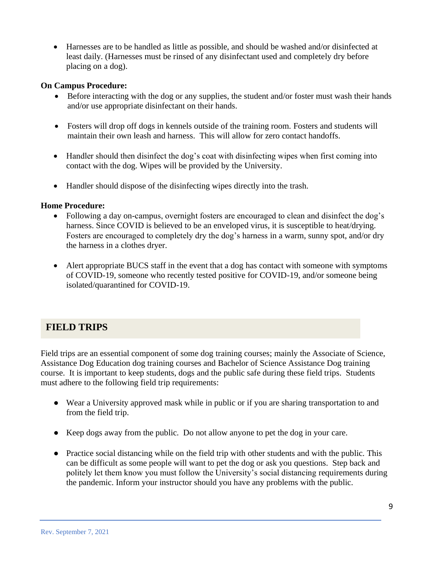• Harnesses are to be handled as little as possible, and should be washed and/or disinfected at least daily. (Harnesses must be rinsed of any disinfectant used and completely dry before placing on a dog).

#### **On Campus Procedure:**

- Before interacting with the dog or any supplies, the student and/or foster must wash their hands and/or use appropriate disinfectant on their hands.
- Fosters will drop off dogs in kennels outside of the training room. Fosters and students will maintain their own leash and harness. This will allow for zero contact handoffs.
- Handler should then disinfect the dog's coat with disinfecting wipes when first coming into contact with the dog. Wipes will be provided by the University.
- Handler should dispose of the disinfecting wipes directly into the trash.

#### **Home Procedure:**

- Following a day on-campus, overnight fosters are encouraged to clean and disinfect the dog's harness. Since COVID is believed to be an enveloped virus, it is susceptible to heat/drying. Fosters are encouraged to completely dry the dog's harness in a warm, sunny spot, and/or dry the harness in a clothes dryer.
- Alert appropriate BUCS staff in the event that a dog has contact with someone with symptoms of COVID-19, someone who recently tested positive for COVID-19, and/or someone being isolated/quarantined for COVID-19.

## **FIELD TRIPS**

Field trips are an essential component of some dog training courses; mainly the Associate of Science, Assistance Dog Education dog training courses and Bachelor of Science Assistance Dog training course. It is important to keep students, dogs and the public safe during these field trips. Students must adhere to the following field trip requirements:

- Wear a University approved mask while in public or if you are sharing transportation to and from the field trip.
- Keep dogs away from the public. Do not allow anyone to pet the dog in your care.
- Practice social distancing while on the field trip with other students and with the public. This can be difficult as some people will want to pet the dog or ask you questions. Step back and politely let them know you must follow the University's social distancing requirements during the pandemic. Inform your instructor should you have any problems with the public.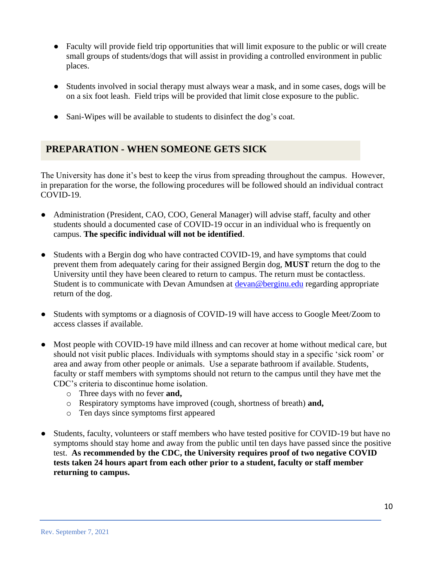- Faculty will provide field trip opportunities that will limit exposure to the public or will create small groups of students/dogs that will assist in providing a controlled environment in public places.
- Students involved in social therapy must always wear a mask, and in some cases, dogs will be on a six foot leash. Field trips will be provided that limit close exposure to the public.
- Sani-Wipes will be available to students to disinfect the dog's coat.

## **PREPARATION - WHEN SOMEONE GETS SICK**

The University has done it's best to keep the virus from spreading throughout the campus. However, in preparation for the worse, the following procedures will be followed should an individual contract COVID-19.

- Administration (President, CAO, COO, General Manager) will advise staff, faculty and other students should a documented case of COVID-19 occur in an individual who is frequently on campus. **The specific individual will not be identified**.
- Students with a Bergin dog who have contracted COVID-19, and have symptoms that could prevent them from adequately caring for their assigned Bergin dog, **MUST** return the dog to the University until they have been cleared to return to campus. The return must be contactless. Student is to communicate with Devan Amundsen at [devan@berginu.edu](http://devan@berginu.edu/) regarding appropriate return of the dog.
- Students with symptoms or a diagnosis of COVID-19 will have access to Google Meet/Zoom to access classes if available.
- Most people with COVID-19 have mild illness and can recover at home without medical care, but should not visit public places. Individuals with symptoms should stay in a specific 'sick room' or area and away from other people or animals. Use a separate bathroom if available. Students, faculty or staff members with symptoms should not return to the campus until they have met the CDC's criteria to discontinue home isolation.
	- o Three days with no fever **and,**
	- o Respiratory symptoms have improved (cough, shortness of breath) **and,**
	- o Ten days since symptoms first appeared
- Students, faculty, volunteers or staff members who have tested positive for COVID-19 but have no symptoms should stay home and away from the public until ten days have passed since the positive test. **As recommended by the CDC, the University requires proof of two negative COVID tests taken 24 hours apart from each other prior to a student, faculty or staff member returning to campus.**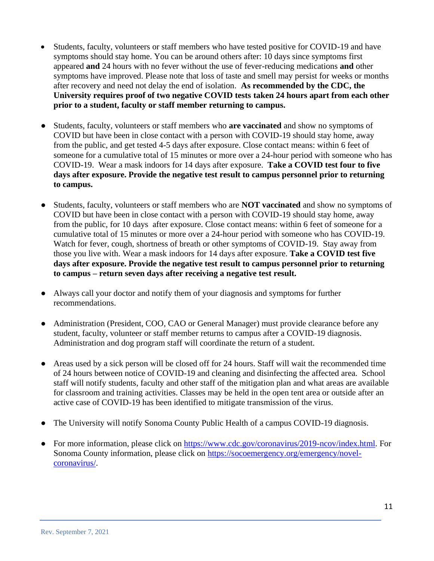- Students, faculty, volunteers or staff members who have tested positive for COVID-19 and have symptoms should stay home. You can be around others after: 10 days since symptoms first appeared **and** 24 hours with no fever without the use of fever-reducing medications **and** other symptoms have improved. Please note that loss of taste and smell may persist for weeks or months after recovery and need not delay the end of isolation. **As recommended by the CDC, the University requires proof of two negative COVID tests taken 24 hours apart from each other prior to a student, faculty or staff member returning to campus.**
- Students, faculty, volunteers or staff members who **are vaccinated** and show no symptoms of COVID but have been in close contact with a person with COVID-19 should stay home, away from the public, and get tested 4-5 days after exposure. Close contact means: within 6 feet of someone for a cumulative total of 15 minutes or more over a 24-hour period with someone who has COVID-19. Wear a mask indoors for 14 days after exposure. **Take a COVID test four to five days after exposure. Provide the negative test result to campus personnel prior to returning to campus.**
- Students, faculty, volunteers or staff members who are **NOT vaccinated** and show no symptoms of COVID but have been in close contact with a person with COVID-19 should stay home, away from the public, for 10 days after exposure. Close contact means: within 6 feet of someone for a cumulative total of 15 minutes or more over a 24-hour period with someone who has COVID-19. Watch for fever, cough, shortness of breath or other symptoms of COVID-19. Stay away from those you live with. Wear a mask indoors for 14 days after exposure. **Take a COVID test five days after exposure. Provide the negative test result to campus personnel prior to returning to campus – return seven days after receiving a negative test result.**
- Always call your doctor and notify them of your diagnosis and symptoms for further recommendations.
- Administration (President, COO, CAO or General Manager) must provide clearance before any student, faculty, volunteer or staff member returns to campus after a COVID-19 diagnosis. Administration and dog program staff will coordinate the return of a student.
- Areas used by a sick person will be closed off for 24 hours. Staff will wait the recommended time of 24 hours between notice of COVID-19 and cleaning and disinfecting the affected area. School staff will notify students, faculty and other staff of the mitigation plan and what areas are available for classroom and training activities. Classes may be held in the open tent area or outside after an active case of COVID-19 has been identified to mitigate transmission of the virus.
- The University will notify Sonoma County Public Health of a campus COVID-19 diagnosis.
- For more information, please click on [https://www.cdc.gov/coronavirus/2019-ncov/index.html.](https://www.cdc.gov/coronavirus/2019-ncov/index.html) For Sonoma County information, please click on [https://socoemergency.org/emergency/novel](https://socoemergency.org/emergency/novel-coronavirus/)[coronavirus/.](https://socoemergency.org/emergency/novel-coronavirus/)